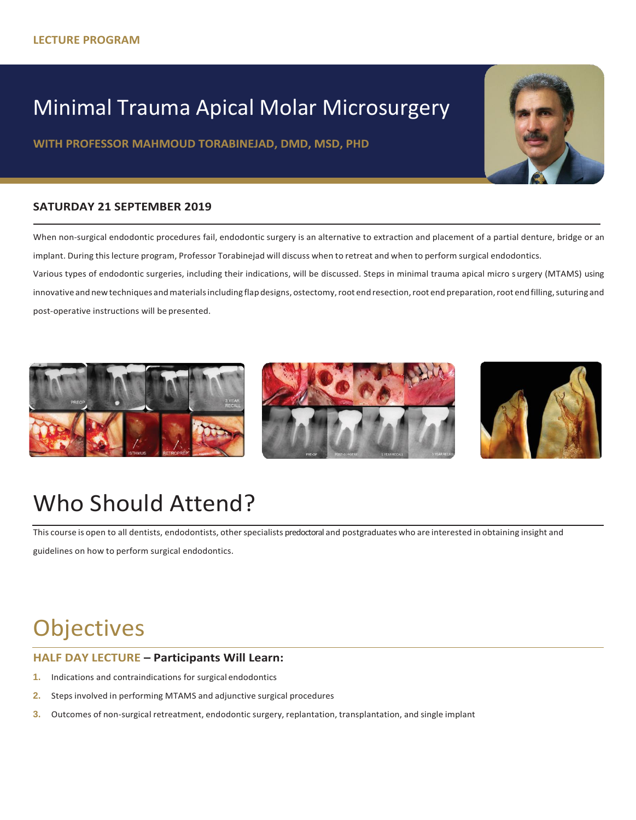## Minimal Trauma Apical Molar Microsurgery

WITH PROFESSOR MAHMOUD TORABINEJAD, DMD, MSD, PHD

### **SATURDAY 21 SEPTEMBER 2019**

When non-surgical endodontic procedures fail, endodontic surgery is an alternative to extraction and placement of a partial denture, bridge or an implant. During thislecture program, Professor Torabinejad will discuss when to retreat and when to perform surgical endodontics.

Various types of endodontic surgeries, including their indications, will be discussed. Steps in minimal trauma apical micro s urgery (MTAMS) using innovative and new techniques and materials including flap designs, ostectomy, root end resection, root end preparation, root end filling, suturing and post-operative instructions will be presented.







# Who Should Attend?

This course is open to all dentists, endodontists, other specialists predoctoral and postgraduates who are interested in obtaining insight and

guidelines on how to perform surgical endodontics.

# **Objectives**

### **HALF DAY LECTURE – Participants Will Learn:**

- **1.** Indications and contraindications for surgical endodontics
- **2.** Steps involved in performing MTAMS and adjunctive surgical procedures
- **3.** Outcomes of non-surgical retreatment, endodontic surgery, replantation, transplantation, and single implant